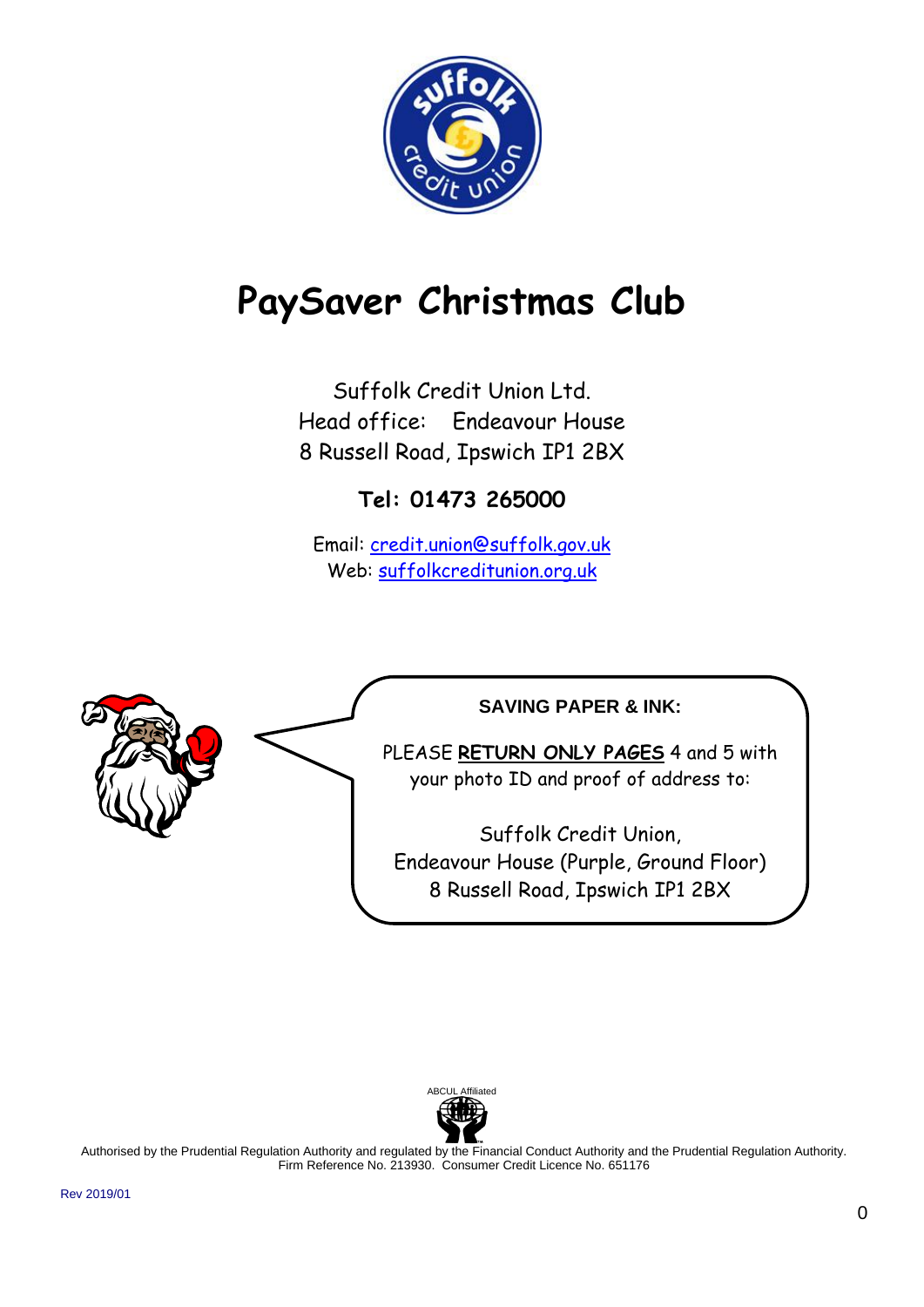

# **PaySaver Christmas Club**

Suffolk Credit Union Ltd. Head office: Endeavour House 8 Russell Road, Ipswich IP1 2BX

**Tel: 01473 265000** 

Email: [credit.union@suffolk.gov.uk](mailto:credit.union@suffolk.gov.uk) Web: [suffolkcreditunion.org.uk](mailto:credit.union@suffolk.gov.uk)





Authorised by the Prudential Regulation Authority and regulated by the Financial Conduct Authority and the Prudential Regulation Authority. Firm Reference No. 213930. Consumer Credit Licence No. 651176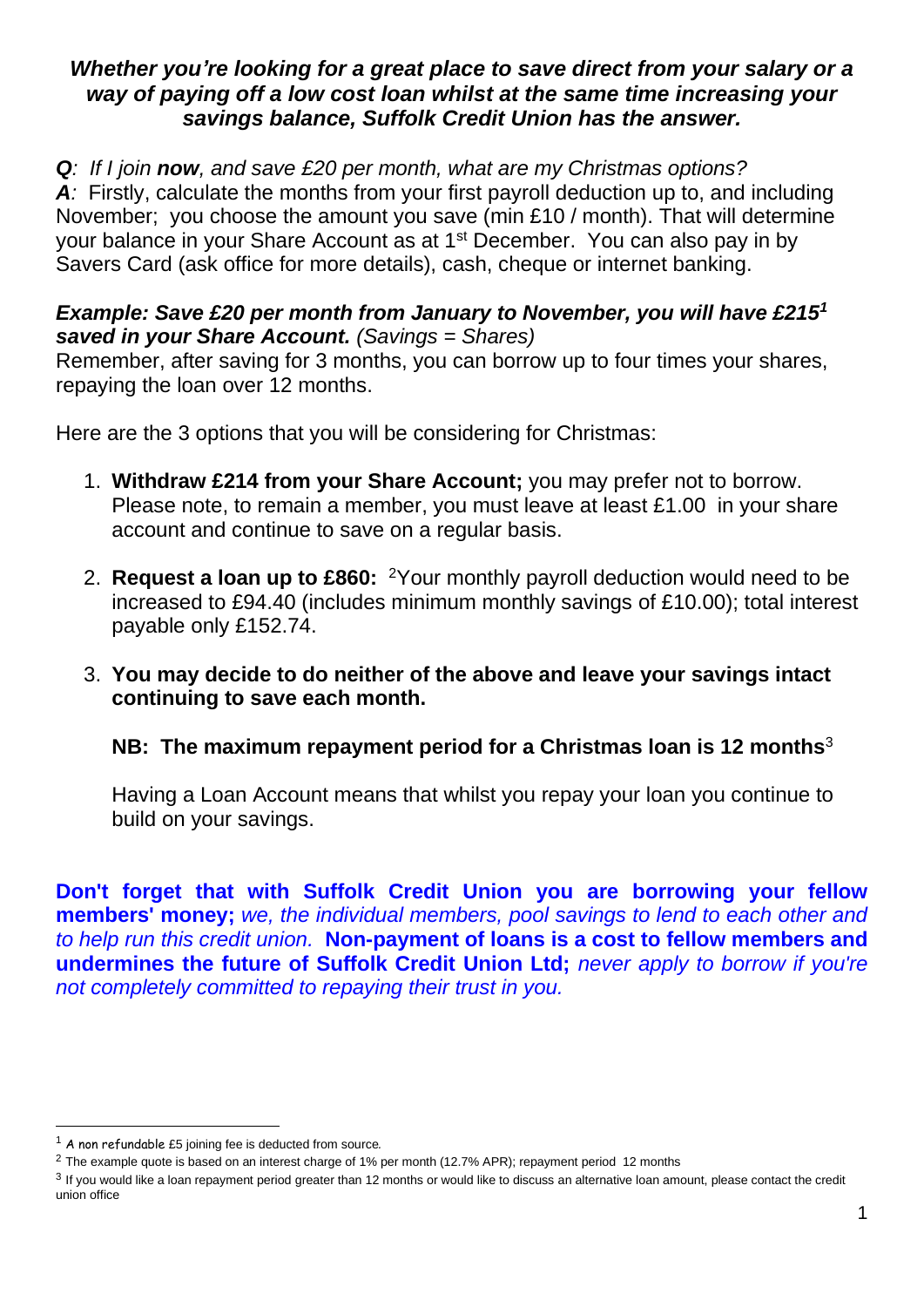## *Whether you're looking for a great place to save direct from your salary or a way of paying off a low cost loan whilst at the same time increasing your savings balance, Suffolk Credit Union has the answer.*

#### *Q: If I join now, and save £20 per month, what are my Christmas options?*  A<sub></sub>: Firstly, calculate the months from your first payroll deduction up to, and including November; you choose the amount you save (min £10 / month). That will determine your balance in your Share Account as at 1<sup>st</sup> December. You can also pay in by Savers Card (ask office for more details), cash, cheque or internet banking.

## *Example: Save £20 per month from January to November, you will have £215<sup>1</sup> saved in your Share Account. (Savings = Shares)*

Remember, after saving for 3 months, you can borrow up to four times your shares, repaying the loan over 12 months.

Here are the 3 options that you will be considering for Christmas:

- 1. **Withdraw £214 from your Share Account;** you may prefer not to borrow. Please note, to remain a member, you must leave at least £1.00 in your share account and continue to save on a regular basis.
- 2. **Request a loan up to £860:** <sup>2</sup>Your monthly payroll deduction would need to be increased to £94.40 (includes minimum monthly savings of £10.00); total interest payable only £152.74.
- 3. **You may decide to do neither of the above and leave your savings intact continuing to save each month.**

## **NB: The maximum repayment period for a Christmas loan is 12 months**<sup>3</sup>

Having a Loan Account means that whilst you repay your loan you continue to build on your savings.

**Don't forget that with Suffolk Credit Union you are borrowing your fellow members' money;** *we, the individual members, pool savings to lend to each other and to help run this credit union.* **Non-payment of loans is a cost to fellow members and undermines the future of Suffolk Credit Union Ltd;** *never apply to borrow if you're not completely committed to repaying their trust in you.*

<sup>1</sup> A non refundable £5 joining fee is deducted from source*.* 

<sup>&</sup>lt;sup>2</sup> The example quote is based on an interest charge of 1% per month (12.7% APR); repayment period 12 months

 $3$  If you would like a loan repayment period greater than 12 months or would like to discuss an alternative loan amount, please contact the credit union office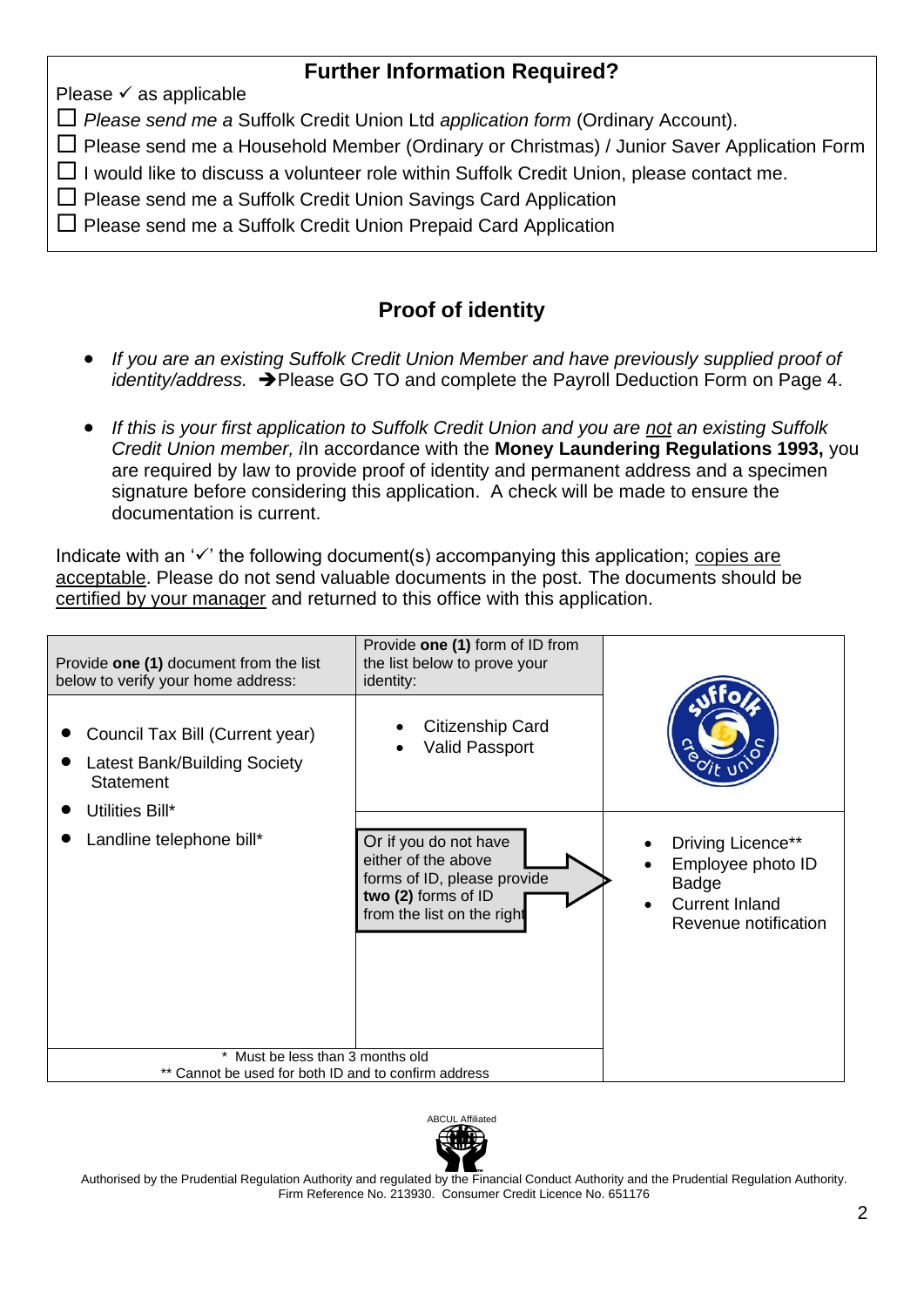## **Further Information Required?**

Please  $\checkmark$  as applicable

*Please send me a* Suffolk Credit Union Ltd *application form* (Ordinary Account).

 $\Box$  Please send me a Household Member (Ordinary or Christmas) / Junior Saver Application Form

 $\Box$  I would like to discuss a volunteer role within Suffolk Credit Union, please contact me.

- $\square$  Please send me a Suffolk Credit Union Savings Card Application
- $\square$  Please send me a Suffolk Credit Union Prepaid Card Application

## **Proof of identity**

- *If you are an existing Suffolk Credit Union Member and have previously supplied proof of identity/address.* ➔Please GO TO and complete the Payroll Deduction Form on Page 4.
- *If this is your first application to Suffolk Credit Union and you are not an existing Suffolk Credit Union member, i*In accordance with the **Money Laundering Regulations 1993,** you are required by law to provide proof of identity and permanent address and a specimen signature before considering this application. A check will be made to ensure the documentation is current.

Indicate with an '✓' the following document(s) accompanying this application; copies are acceptable. Please do not send valuable documents in the post. The documents should be certified by your manager and returned to this office with this application.





Authorised by the Prudential Regulation Authority and regulated by the Financial Conduct Authority and the Prudential Regulation Authority. Firm Reference No. 213930. Consumer Credit Licence No. 651176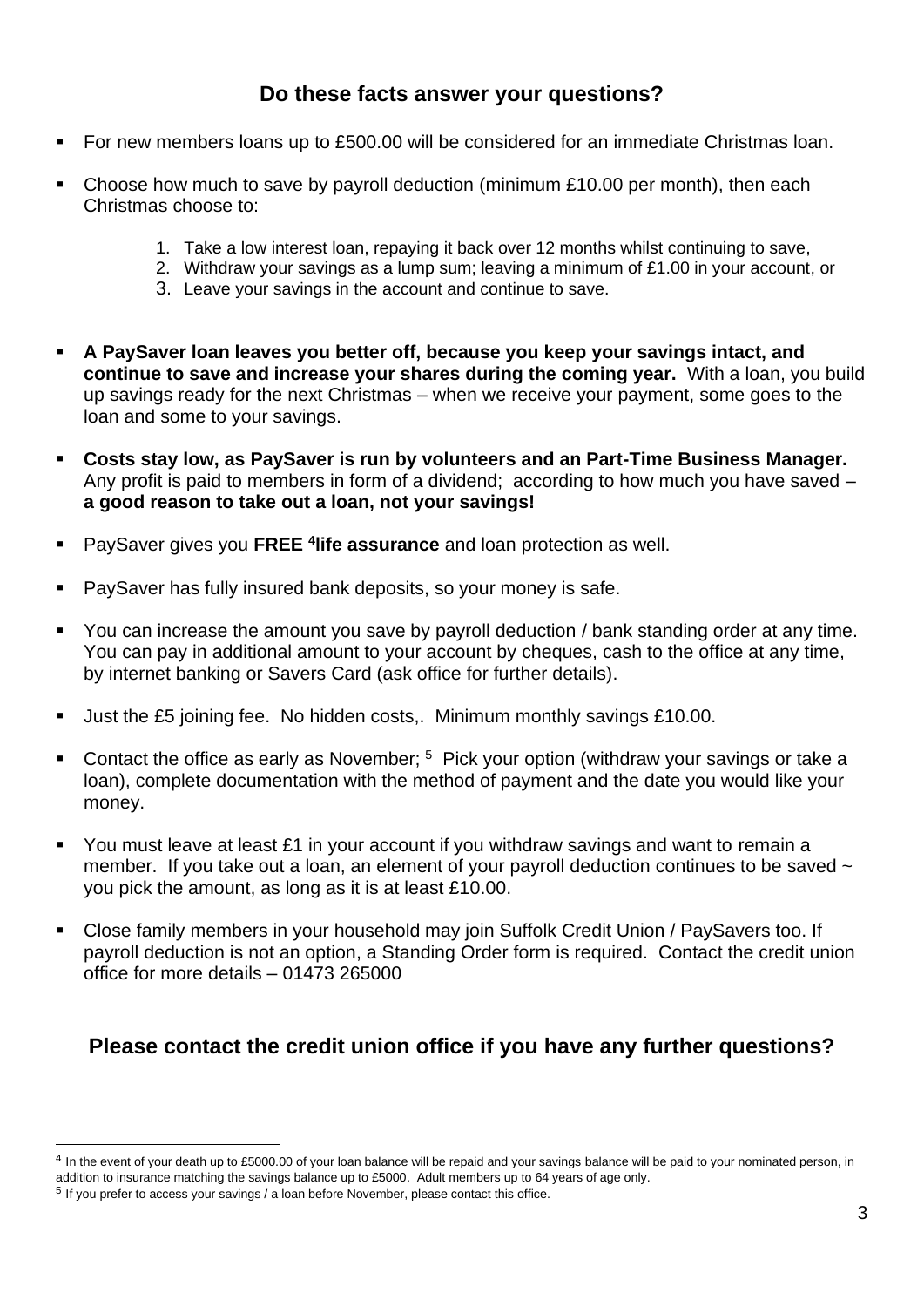## **Do these facts answer your questions?**

- For new members loans up to £500.00 will be considered for an immediate Christmas loan.
- Choose how much to save by payroll deduction (minimum  $£10.00$  per month), then each Christmas choose to:
	- 1. Take a low interest loan, repaying it back over 12 months whilst continuing to save,
	- 2. Withdraw your savings as a lump sum; leaving a minimum of £1.00 in your account, or
	- 3. Leave your savings in the account and continue to save.
- **A PaySaver loan leaves you better off, because you keep your savings intact, and continue to save and increase your shares during the coming year.** With a loan, you build up savings ready for the next Christmas – when we receive your payment, some goes to the loan and some to your savings.
- **Costs stay low, as PaySaver is run by volunteers and an Part-Time Business Manager.**  Any profit is paid to members in form of a dividend; according to how much you have saved – **a good reason to take out a loan, not your savings!**
- PaySaver gives you **FREE <sup>4</sup> life assurance** and loan protection as well.
- PaySaver has fully insured bank deposits, so your money is safe.
- You can increase the amount you save by payroll deduction / bank standing order at any time. You can pay in additional amount to your account by cheques, cash to the office at any time, by internet banking or Savers Card (ask office for further details).
- Just the £5 joining fee. No hidden costs,. Minimum monthly savings £10.00.
- **•** Contact the office as early as November;  $5$  Pick your option (withdraw your savings or take a loan), complete documentation with the method of payment and the date you would like your money.
- You must leave at least £1 in your account if you withdraw savings and want to remain a member. If you take out a loan, an element of your payroll deduction continues to be saved  $\sim$ you pick the amount, as long as it is at least £10.00.
- Close family members in your household may join Suffolk Credit Union / PaySavers too. If payroll deduction is not an option, a Standing Order form is required. Contact the credit union office for more details – 01473 265000

## **Please contact the credit union office if you have any further questions?**

 $4$  In the event of your death up to £5000.00 of your loan balance will be repaid and your savings balance will be paid to your nominated person, in addition to insurance matching the savings balance up to £5000. Adult members up to 64 years of age only.

<sup>&</sup>lt;sup>5</sup> If you prefer to access your savings / a loan before November, please contact this office.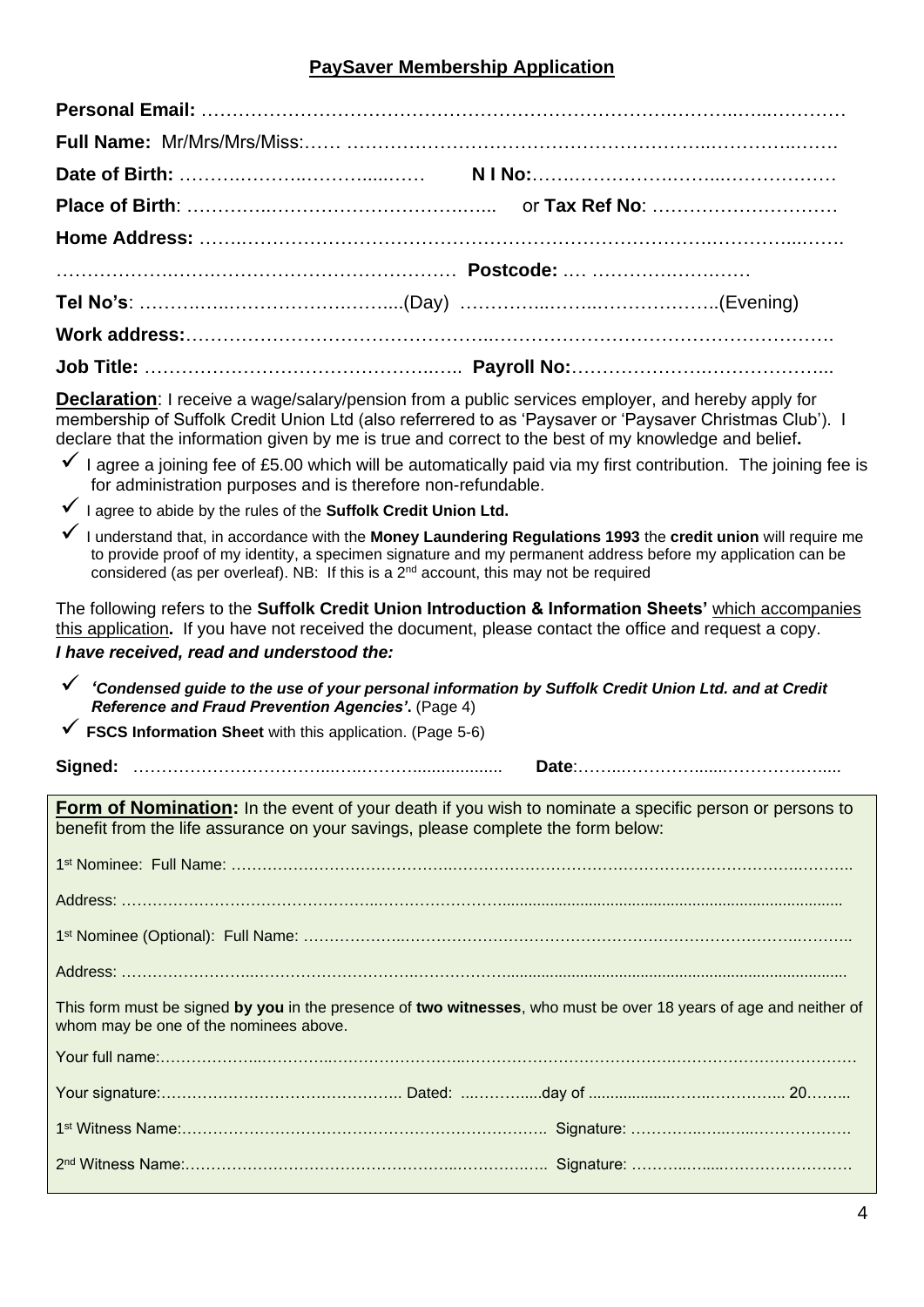#### **PaySaver Membership Application**

**Declaration**: I receive a wage/salary/pension from a public services employer, and hereby apply for membership of Suffolk Credit Union Ltd (also referrered to as 'Paysaver or 'Paysaver Christmas Club'). I declare that the information given by me is true and correct to the best of my knowledge and belief**.**

- $\checkmark$  I agree a joining fee of £5.00 which will be automatically paid via my first contribution. The joining fee is for administration purposes and is therefore non-refundable.
- ✓ I agree to abide by the rules of the **Suffolk Credit Union Ltd.**
- ✓ I understand that, in accordance with the **Money Laundering Regulations 1993** the **credit union** will require me to provide proof of my identity, a specimen signature and my permanent address before my application can be considered (as per overleaf). NB: If this is a  $2^{nd}$  account, this may not be required

The following refers to the **Suffolk Credit Union Introduction & Information Sheets'** which accompanies this application**.** If you have not received the document, please contact the office and request a copy. *I have received, read and understood the:*

- ✓ *'Condensed guide to the use of your personal information by Suffolk Credit Union Ltd. and at Credit Reference and Fraud Prevention Agencies'***.** (Page 4)
- ✓ **FSCS Information Sheet** with this application. (Page 5-6)

| Cian<br>வய |  |
|------------|--|
|------------|--|

| <b>Form of Nomination:</b> In the event of your death if you wish to nominate a specific person or persons to<br>benefit from the life assurance on your savings, please complete the form below: |
|---------------------------------------------------------------------------------------------------------------------------------------------------------------------------------------------------|
|                                                                                                                                                                                                   |
|                                                                                                                                                                                                   |
|                                                                                                                                                                                                   |
|                                                                                                                                                                                                   |
| This form must be signed by you in the presence of two witnesses, who must be over 18 years of age and neither of<br>whom may be one of the nominees above.                                       |
|                                                                                                                                                                                                   |
|                                                                                                                                                                                                   |
|                                                                                                                                                                                                   |
|                                                                                                                                                                                                   |